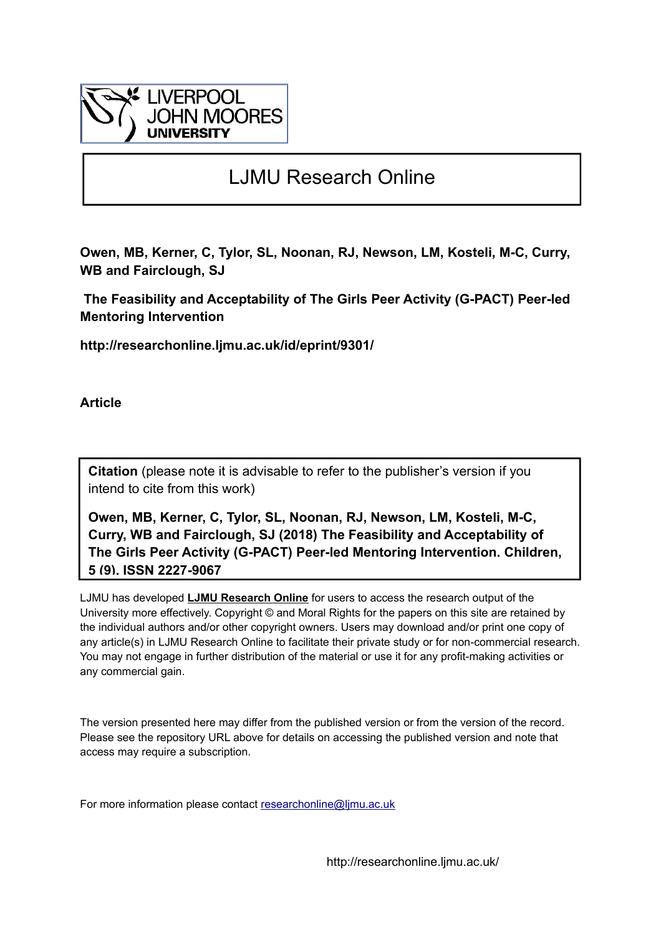

# LJMU Research Online

**Owen, MB, Kerner, C, Tylor, SL, Noonan, RJ, Newson, LM, Kosteli, M-C, Curry, WB and Fairclough, SJ**

 **The Feasibility and Acceptability of The Girls Peer Activity (G-PACT) Peer-led Mentoring Intervention**

**http://researchonline.ljmu.ac.uk/id/eprint/9301/**

**Article**

**Citation** (please note it is advisable to refer to the publisher's version if you intend to cite from this work)

**Owen, MB, Kerner, C, Tylor, SL, Noonan, RJ, Newson, LM, Kosteli, M-C, Curry, WB and Fairclough, SJ (2018) The Feasibility and Acceptability of The Girls Peer Activity (G-PACT) Peer-led Mentoring Intervention. Children, 5 (9). ISSN 2227-9067** 

LJMU has developed **[LJMU Research Online](http://researchonline.ljmu.ac.uk/)** for users to access the research output of the University more effectively. Copyright © and Moral Rights for the papers on this site are retained by the individual authors and/or other copyright owners. Users may download and/or print one copy of any article(s) in LJMU Research Online to facilitate their private study or for non-commercial research. You may not engage in further distribution of the material or use it for any profit-making activities or any commercial gain.

The version presented here may differ from the published version or from the version of the record. Please see the repository URL above for details on accessing the published version and note that access may require a subscription.

For more information please contact researchonline@limu.ac.uk

http://researchonline.ljmu.ac.uk/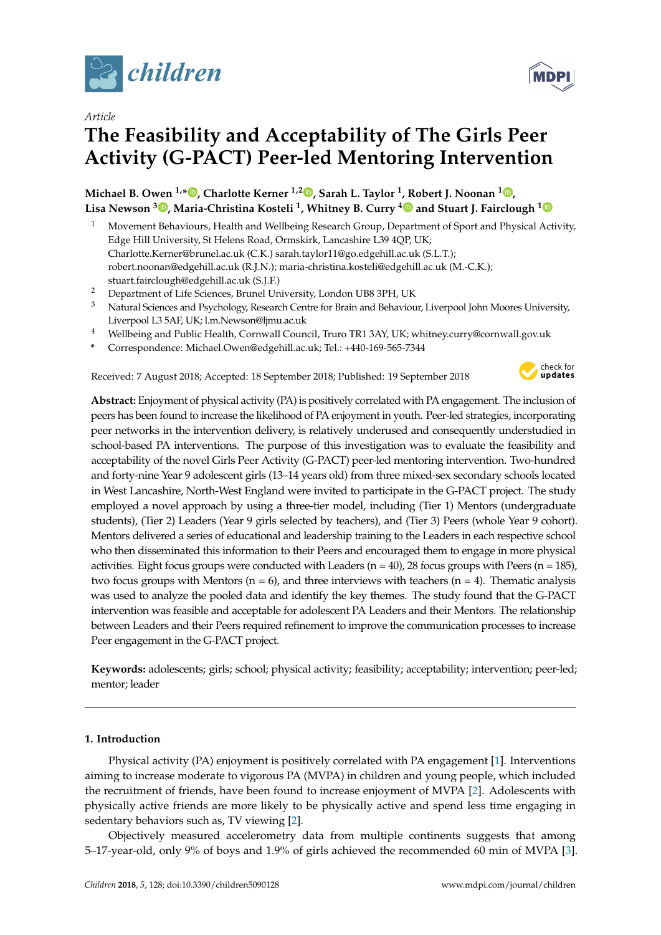

*Article*

# **The Feasibility and Acceptability of The Girls Peer Activity (G-PACT) Peer-led Mentoring Intervention**

# **Michael B. Owen 1,[\\*](https://orcid.org/0000-0002-7960-2404) , Charlotte Kerner 1,2 [,](https://orcid.org/0000-0002-7387-3625) Sarah L. Taylor <sup>1</sup> , Robert J. Noonan <sup>1</sup> [,](https://orcid.org/0000-0001-9575-5729) Lisa Newson <sup>3</sup> [,](https://orcid.org/0000-0002-5874-8762) Maria-Christina Kosteli <sup>1</sup> , Whitney B. Curry [4](https://orcid.org/0000-0001-8621-6053) and Stuart J. Fairclough [1](https://orcid.org/0000-0001-8358-1979)**

- <sup>1</sup> Movement Behaviours, Health and Wellbeing Research Group, Department of Sport and Physical Activity, Edge Hill University, St Helens Road, Ormskirk, Lancashire L39 4QP, UK; Charlotte.Kerner@brunel.ac.uk (C.K.) sarah.taylor11@go.edgehill.ac.uk (S.L.T.); robert.noonan@edgehill.ac.uk (R.J.N.); maria-christina.kosteli@edgehill.ac.uk (M.-C.K.); stuart.fairclough@edgehill.ac.uk (S.J.F.)
- <sup>2</sup> Department of Life Sciences, Brunel University, London UB8 3PH, UK
- <sup>3</sup> Natural Sciences and Psychology, Research Centre for Brain and Behaviour, Liverpool John Moores University, Liverpool L3 5AF, UK; l.m.Newson@ljmu.ac.uk
- <sup>4</sup> Wellbeing and Public Health, Cornwall Council, Truro TR1 3AY, UK; whitney.curry@cornwall.gov.uk
- **\*** Correspondence: Michael.Owen@edgehill.ac.uk; Tel.: +440-169-565-7344

Received: 7 August 2018; Accepted: 18 September 2018; Published: 19 September 2018



**Abstract:** Enjoyment of physical activity (PA) is positively correlated with PA engagement. The inclusion of peers has been found to increase the likelihood of PA enjoyment in youth. Peer-led strategies, incorporating peer networks in the intervention delivery, is relatively underused and consequently understudied in school-based PA interventions. The purpose of this investigation was to evaluate the feasibility and acceptability of the novel Girls Peer Activity (G-PACT) peer-led mentoring intervention. Two-hundred and forty-nine Year 9 adolescent girls (13–14 years old) from three mixed-sex secondary schools located in West Lancashire, North-West England were invited to participate in the G-PACT project. The study employed a novel approach by using a three-tier model, including (Tier 1) Mentors (undergraduate students), (Tier 2) Leaders (Year 9 girls selected by teachers), and (Tier 3) Peers (whole Year 9 cohort). Mentors delivered a series of educational and leadership training to the Leaders in each respective school who then disseminated this information to their Peers and encouraged them to engage in more physical activities. Eight focus groups were conducted with Leaders ( $n = 40$ ), 28 focus groups with Peers ( $n = 185$ ), two focus groups with Mentors ( $n = 6$ ), and three interviews with teachers ( $n = 4$ ). Thematic analysis was used to analyze the pooled data and identify the key themes. The study found that the G-PACT intervention was feasible and acceptable for adolescent PA Leaders and their Mentors. The relationship between Leaders and their Peers required refinement to improve the communication processes to increase Peer engagement in the G-PACT project.

**Keywords:** adolescents; girls; school; physical activity; feasibility; acceptability; intervention; peer-led; mentor; leader

# **1. Introduction**

Physical activity (PA) enjoyment is positively correlated with PA engagement [\[1\]](#page-14-0). Interventions aiming to increase moderate to vigorous PA (MVPA) in children and young people, which included the recruitment of friends, have been found to increase enjoyment of MVPA [\[2\]](#page-14-1). Adolescents with physically active friends are more likely to be physically active and spend less time engaging in sedentary behaviors such as, TV viewing [\[2\]](#page-14-1).

Objectively measured accelerometry data from multiple continents suggests that among 5–17-year-old, only 9% of boys and 1.9% of girls achieved the recommended 60 min of MVPA [\[3\]](#page-14-2).

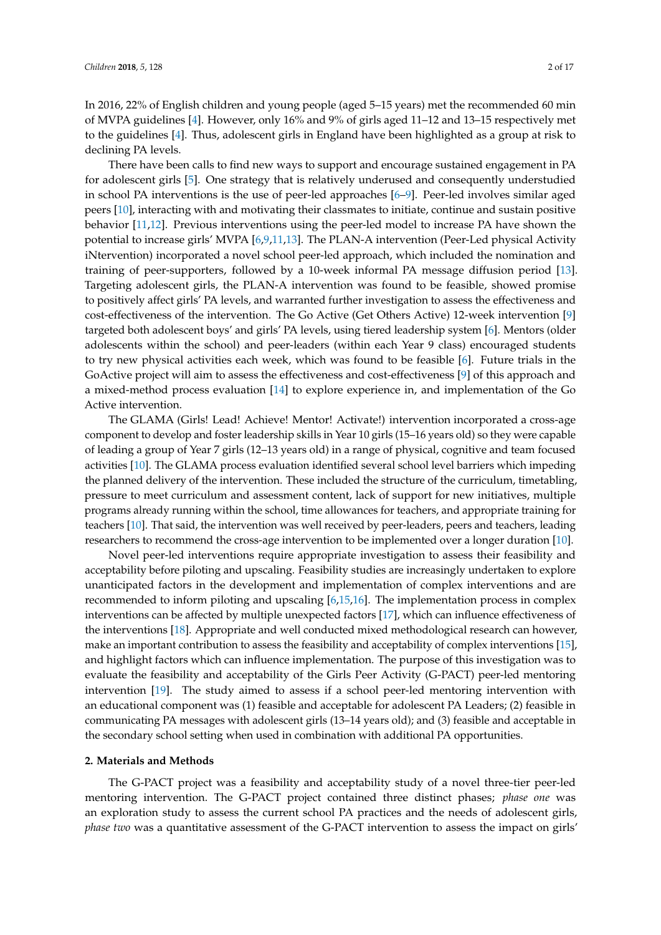In 2016, 22% of English children and young people (aged 5–15 years) met the recommended 60 min of MVPA guidelines [\[4\]](#page-14-3). However, only 16% and 9% of girls aged 11–12 and 13–15 respectively met to the guidelines [\[4\]](#page-14-3). Thus, adolescent girls in England have been highlighted as a group at risk to declining PA levels.

There have been calls to find new ways to support and encourage sustained engagement in PA for adolescent girls [\[5\]](#page-14-4). One strategy that is relatively underused and consequently understudied in school PA interventions is the use of peer-led approaches [\[6](#page-14-5)[–9\]](#page-15-0). Peer-led involves similar aged peers [\[10\]](#page-15-1), interacting with and motivating their classmates to initiate, continue and sustain positive behavior [\[11](#page-15-2)[,12\]](#page-15-3). Previous interventions using the peer-led model to increase PA have shown the potential to increase girls' MVPA [\[6,](#page-14-5)[9,](#page-15-0)[11,](#page-15-2)[13\]](#page-15-4). The PLAN-A intervention (Peer-Led physical Activity iNtervention) incorporated a novel school peer-led approach, which included the nomination and training of peer-supporters, followed by a 10-week informal PA message diffusion period [\[13\]](#page-15-4). Targeting adolescent girls, the PLAN-A intervention was found to be feasible, showed promise to positively affect girls' PA levels, and warranted further investigation to assess the effectiveness and cost-effectiveness of the intervention. The Go Active (Get Others Active) 12-week intervention [\[9\]](#page-15-0) targeted both adolescent boys' and girls' PA levels, using tiered leadership system [\[6\]](#page-14-5). Mentors (older adolescents within the school) and peer-leaders (within each Year 9 class) encouraged students to try new physical activities each week, which was found to be feasible [\[6\]](#page-14-5). Future trials in the GoActive project will aim to assess the effectiveness and cost-effectiveness [\[9\]](#page-15-0) of this approach and a mixed-method process evaluation [\[14\]](#page-15-5) to explore experience in, and implementation of the Go Active intervention.

The GLAMA (Girls! Lead! Achieve! Mentor! Activate!) intervention incorporated a cross-age component to develop and foster leadership skills in Year 10 girls (15–16 years old) so they were capable of leading a group of Year 7 girls (12–13 years old) in a range of physical, cognitive and team focused activities [\[10\]](#page-15-1). The GLAMA process evaluation identified several school level barriers which impeding the planned delivery of the intervention. These included the structure of the curriculum, timetabling, pressure to meet curriculum and assessment content, lack of support for new initiatives, multiple programs already running within the school, time allowances for teachers, and appropriate training for teachers [\[10\]](#page-15-1). That said, the intervention was well received by peer-leaders, peers and teachers, leading researchers to recommend the cross-age intervention to be implemented over a longer duration [\[10\]](#page-15-1).

Novel peer-led interventions require appropriate investigation to assess their feasibility and acceptability before piloting and upscaling. Feasibility studies are increasingly undertaken to explore unanticipated factors in the development and implementation of complex interventions and are recommended to inform piloting and upscaling [\[6](#page-14-5)[,15](#page-15-6)[,16\]](#page-15-7). The implementation process in complex interventions can be affected by multiple unexpected factors [\[17\]](#page-15-8), which can influence effectiveness of the interventions [\[18\]](#page-15-9). Appropriate and well conducted mixed methodological research can however, make an important contribution to assess the feasibility and acceptability of complex interventions [\[15\]](#page-15-6), and highlight factors which can influence implementation. The purpose of this investigation was to evaluate the feasibility and acceptability of the Girls Peer Activity (G-PACT) peer-led mentoring intervention [\[19\]](#page-15-10). The study aimed to assess if a school peer-led mentoring intervention with an educational component was (1) feasible and acceptable for adolescent PA Leaders; (2) feasible in communicating PA messages with adolescent girls (13–14 years old); and (3) feasible and acceptable in the secondary school setting when used in combination with additional PA opportunities.

# **2. Materials and Methods**

The G-PACT project was a feasibility and acceptability study of a novel three-tier peer-led mentoring intervention. The G-PACT project contained three distinct phases; *phase one* was an exploration study to assess the current school PA practices and the needs of adolescent girls, *phase two* was a quantitative assessment of the G-PACT intervention to assess the impact on girls'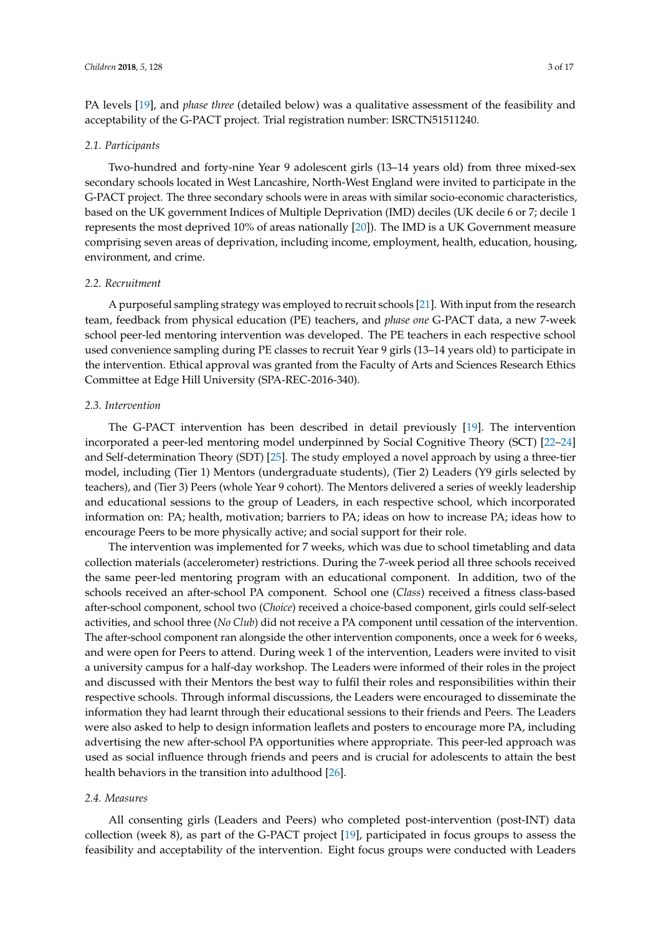PA levels [\[19\]](#page-15-10), and *phase three* (detailed below) was a qualitative assessment of the feasibility and acceptability of the G-PACT project. Trial registration number: ISRCTN51511240.

# *2.1. Participants*

Two-hundred and forty-nine Year 9 adolescent girls (13–14 years old) from three mixed-sex secondary schools located in West Lancashire, North-West England were invited to participate in the G-PACT project. The three secondary schools were in areas with similar socio-economic characteristics, based on the UK government Indices of Multiple Deprivation (IMD) deciles (UK decile 6 or 7; decile 1 represents the most deprived 10% of areas nationally [\[20\]](#page-15-11)). The IMD is a UK Government measure comprising seven areas of deprivation, including income, employment, health, education, housing, environment, and crime.

# *2.2. Recruitment*

A purposeful sampling strategy was employed to recruit schools [\[21\]](#page-15-12). With input from the research team, feedback from physical education (PE) teachers, and *phase one* G-PACT data, a new 7-week school peer-led mentoring intervention was developed. The PE teachers in each respective school used convenience sampling during PE classes to recruit Year 9 girls (13–14 years old) to participate in the intervention. Ethical approval was granted from the Faculty of Arts and Sciences Research Ethics Committee at Edge Hill University (SPA-REC-2016-340).

# *2.3. Intervention*

The G-PACT intervention has been described in detail previously [\[19\]](#page-15-10). The intervention incorporated a peer-led mentoring model underpinned by Social Cognitive Theory (SCT) [\[22](#page-15-13)[–24\]](#page-15-14) and Self-determination Theory (SDT) [\[25\]](#page-15-15). The study employed a novel approach by using a three-tier model, including (Tier 1) Mentors (undergraduate students), (Tier 2) Leaders (Y9 girls selected by teachers), and (Tier 3) Peers (whole Year 9 cohort). The Mentors delivered a series of weekly leadership and educational sessions to the group of Leaders, in each respective school, which incorporated information on: PA; health, motivation; barriers to PA; ideas on how to increase PA; ideas how to encourage Peers to be more physically active; and social support for their role.

The intervention was implemented for 7 weeks, which was due to school timetabling and data collection materials (accelerometer) restrictions. During the 7-week period all three schools received the same peer-led mentoring program with an educational component. In addition, two of the schools received an after-school PA component. School one (*Class*) received a fitness class-based after-school component, school two (*Choice*) received a choice-based component, girls could self-select activities, and school three (*No Club*) did not receive a PA component until cessation of the intervention. The after-school component ran alongside the other intervention components, once a week for 6 weeks, and were open for Peers to attend. During week 1 of the intervention, Leaders were invited to visit a university campus for a half-day workshop. The Leaders were informed of their roles in the project and discussed with their Mentors the best way to fulfil their roles and responsibilities within their respective schools. Through informal discussions, the Leaders were encouraged to disseminate the information they had learnt through their educational sessions to their friends and Peers. The Leaders were also asked to help to design information leaflets and posters to encourage more PA, including advertising the new after-school PA opportunities where appropriate. This peer-led approach was used as social influence through friends and peers and is crucial for adolescents to attain the best health behaviors in the transition into adulthood [\[26\]](#page-16-0).

# *2.4. Measures*

All consenting girls (Leaders and Peers) who completed post-intervention (post-INT) data collection (week 8), as part of the G-PACT project [\[19\]](#page-15-10), participated in focus groups to assess the feasibility and acceptability of the intervention. Eight focus groups were conducted with Leaders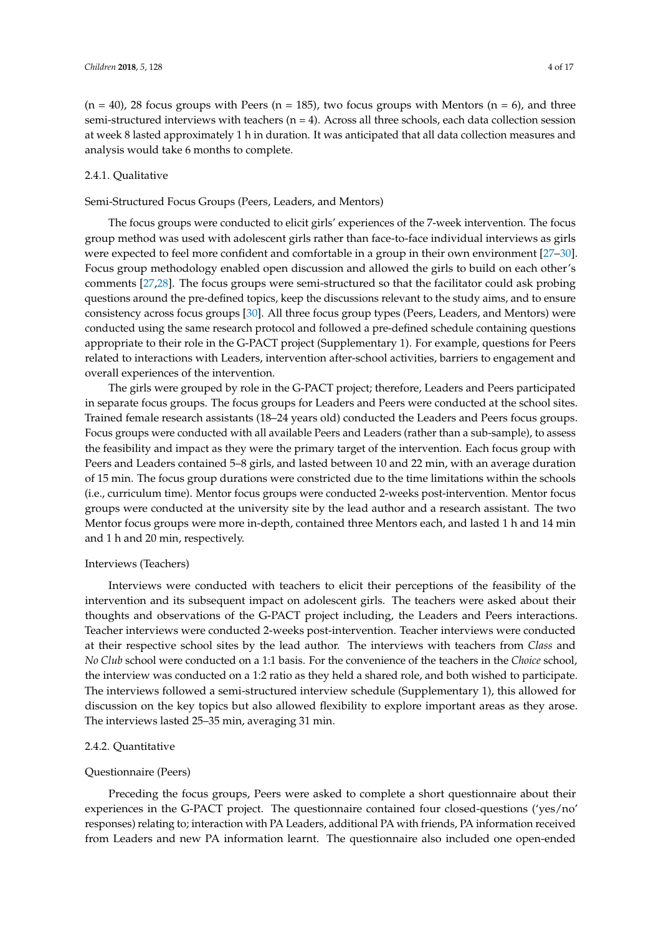$(n = 40)$ , 28 focus groups with Peers  $(n = 185)$ , two focus groups with Mentors  $(n = 6)$ , and three semi-structured interviews with teachers  $(n = 4)$ . Across all three schools, each data collection session at week 8 lasted approximately 1 h in duration. It was anticipated that all data collection measures and analysis would take 6 months to complete.

# 2.4.1. Qualitative

# Semi-Structured Focus Groups (Peers, Leaders, and Mentors)

The focus groups were conducted to elicit girls' experiences of the 7-week intervention. The focus group method was used with adolescent girls rather than face-to-face individual interviews as girls were expected to feel more confident and comfortable in a group in their own environment [\[27–](#page-16-1)[30\]](#page-16-2). Focus group methodology enabled open discussion and allowed the girls to build on each other's comments [\[27,](#page-16-1)[28\]](#page-16-3). The focus groups were semi-structured so that the facilitator could ask probing questions around the pre-defined topics, keep the discussions relevant to the study aims, and to ensure consistency across focus groups [\[30\]](#page-16-2). All three focus group types (Peers, Leaders, and Mentors) were conducted using the same research protocol and followed a pre-defined schedule containing questions appropriate to their role in the G-PACT project (Supplementary 1). For example, questions for Peers related to interactions with Leaders, intervention after-school activities, barriers to engagement and overall experiences of the intervention.

The girls were grouped by role in the G-PACT project; therefore, Leaders and Peers participated in separate focus groups. The focus groups for Leaders and Peers were conducted at the school sites. Trained female research assistants (18–24 years old) conducted the Leaders and Peers focus groups. Focus groups were conducted with all available Peers and Leaders (rather than a sub-sample), to assess the feasibility and impact as they were the primary target of the intervention. Each focus group with Peers and Leaders contained 5–8 girls, and lasted between 10 and 22 min, with an average duration of 15 min. The focus group durations were constricted due to the time limitations within the schools (i.e., curriculum time). Mentor focus groups were conducted 2-weeks post-intervention. Mentor focus groups were conducted at the university site by the lead author and a research assistant. The two Mentor focus groups were more in-depth, contained three Mentors each, and lasted 1 h and 14 min and 1 h and 20 min, respectively.

## Interviews (Teachers)

Interviews were conducted with teachers to elicit their perceptions of the feasibility of the intervention and its subsequent impact on adolescent girls. The teachers were asked about their thoughts and observations of the G-PACT project including, the Leaders and Peers interactions. Teacher interviews were conducted 2-weeks post-intervention. Teacher interviews were conducted at their respective school sites by the lead author. The interviews with teachers from *Class* and *No Club* school were conducted on a 1:1 basis. For the convenience of the teachers in the *Choice* school, the interview was conducted on a 1:2 ratio as they held a shared role, and both wished to participate. The interviews followed a semi-structured interview schedule (Supplementary 1), this allowed for discussion on the key topics but also allowed flexibility to explore important areas as they arose. The interviews lasted 25–35 min, averaging 31 min.

# 2.4.2. Quantitative

#### Questionnaire (Peers)

Preceding the focus groups, Peers were asked to complete a short questionnaire about their experiences in the G-PACT project. The questionnaire contained four closed-questions ('yes/no' responses) relating to; interaction with PA Leaders, additional PA with friends, PA information received from Leaders and new PA information learnt. The questionnaire also included one open-ended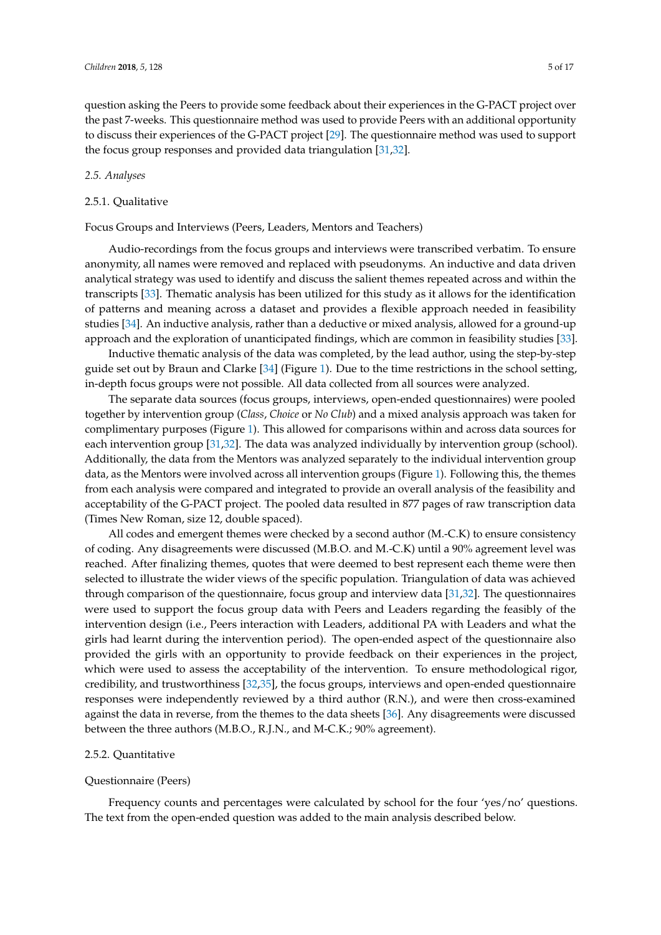question asking the Peers to provide some feedback about their experiences in the G-PACT project over the past 7-weeks. This questionnaire method was used to provide Peers with an additional opportunity to discuss their experiences of the G-PACT project [\[29\]](#page-16-4). The questionnaire method was used to support the focus group responses and provided data triangulation [\[31](#page-16-5)[,32\]](#page-16-6).

# *2.5. Analyses*

# 2.5.1. Qualitative

Focus Groups and Interviews (Peers, Leaders, Mentors and Teachers)

Audio-recordings from the focus groups and interviews were transcribed verbatim. To ensure anonymity, all names were removed and replaced with pseudonyms. An inductive and data driven analytical strategy was used to identify and discuss the salient themes repeated across and within the transcripts [\[33\]](#page-16-7). Thematic analysis has been utilized for this study as it allows for the identification of patterns and meaning across a dataset and provides a flexible approach needed in feasibility studies [\[34\]](#page-16-8). An inductive analysis, rather than a deductive or mixed analysis, allowed for a ground-up approach and the exploration of unanticipated findings, which are common in feasibility studies [\[33\]](#page-16-7).

Inductive thematic analysis of the data was completed, by the lead author, using the step-by-step guide set out by Braun and Clarke [\[34\]](#page-16-8) (Figure [1\)](#page-6-0). Due to the time restrictions in the school setting, in-depth focus groups were not possible. All data collected from all sources were analyzed.

The separate data sources (focus groups, interviews, open-ended questionnaires) were pooled together by intervention group (*Class*, *Choice* or *No Club*) and a mixed analysis approach was taken for complimentary purposes (Figure [1\)](#page-6-0). This allowed for comparisons within and across data sources for each intervention group [\[31,](#page-16-5)[32\]](#page-16-6). The data was analyzed individually by intervention group (school). Additionally, the data from the Mentors was analyzed separately to the individual intervention group data, as the Mentors were involved across all intervention groups (Figure [1\)](#page-6-0). Following this, the themes from each analysis were compared and integrated to provide an overall analysis of the feasibility and acceptability of the G-PACT project. The pooled data resulted in 877 pages of raw transcription data (Times New Roman, size 12, double spaced).

All codes and emergent themes were checked by a second author (M.-C.K) to ensure consistency of coding. Any disagreements were discussed (M.B.O. and M.-C.K) until a 90% agreement level was reached. After finalizing themes, quotes that were deemed to best represent each theme were then selected to illustrate the wider views of the specific population. Triangulation of data was achieved through comparison of the questionnaire, focus group and interview data [\[31](#page-16-5)[,32\]](#page-16-6). The questionnaires were used to support the focus group data with Peers and Leaders regarding the feasibly of the intervention design (i.e., Peers interaction with Leaders, additional PA with Leaders and what the girls had learnt during the intervention period). The open-ended aspect of the questionnaire also provided the girls with an opportunity to provide feedback on their experiences in the project, which were used to assess the acceptability of the intervention. To ensure methodological rigor, credibility, and trustworthiness [\[32](#page-16-6)[,35\]](#page-16-9), the focus groups, interviews and open-ended questionnaire responses were independently reviewed by a third author (R.N.), and were then cross-examined against the data in reverse, from the themes to the data sheets [\[36\]](#page-16-10). Any disagreements were discussed between the three authors (M.B.O., R.J.N., and M-C.K.; 90% agreement).

# 2.5.2. Quantitative

#### Questionnaire (Peers)

Frequency counts and percentages were calculated by school for the four 'yes/no' questions. The text from the open-ended question was added to the main analysis described below.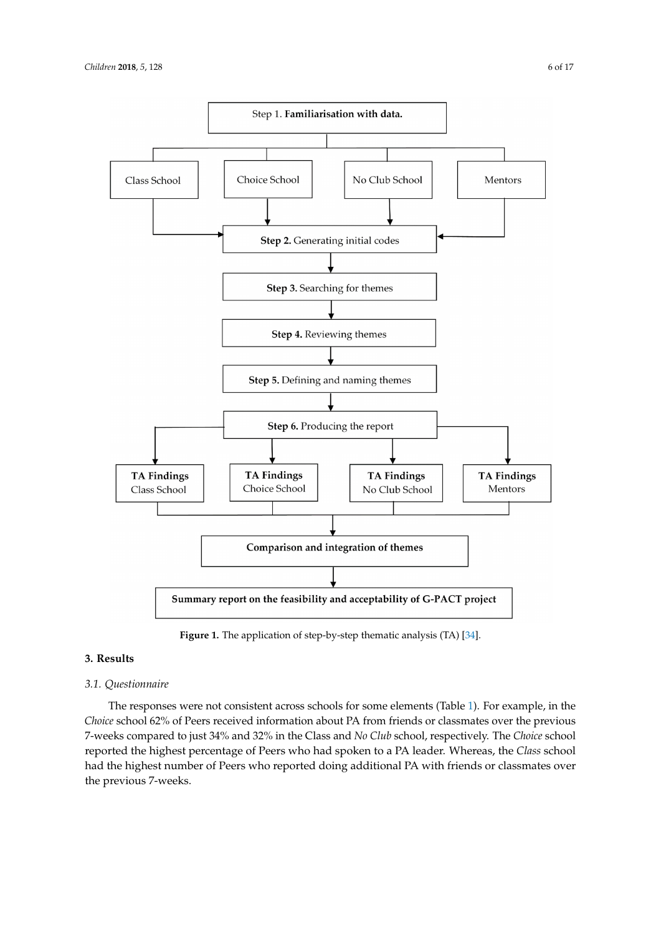<span id="page-6-0"></span>

**Figure 1.** The application of step-by-step thematic analysis (TA) [[34\]](#page-16-8).

# **3. Results**

# *3.1. Questionnaire*

The responses were not consistent across schools for some elements (Table [1\)](#page-7-0). For example, in the *Choice* school 62% of Peers received information about PA from friends or classmates over the previous 7-weeks compared to just 34% and 32% in the Class and *No Club* school, respectively. The *Choice* school reported the highest percentage of Peers who had spoken to a PA leader. Whereas, the *Class* school had the highest number of Peers who reported doing additional PA with friends or classmates over the previous 7-weeks.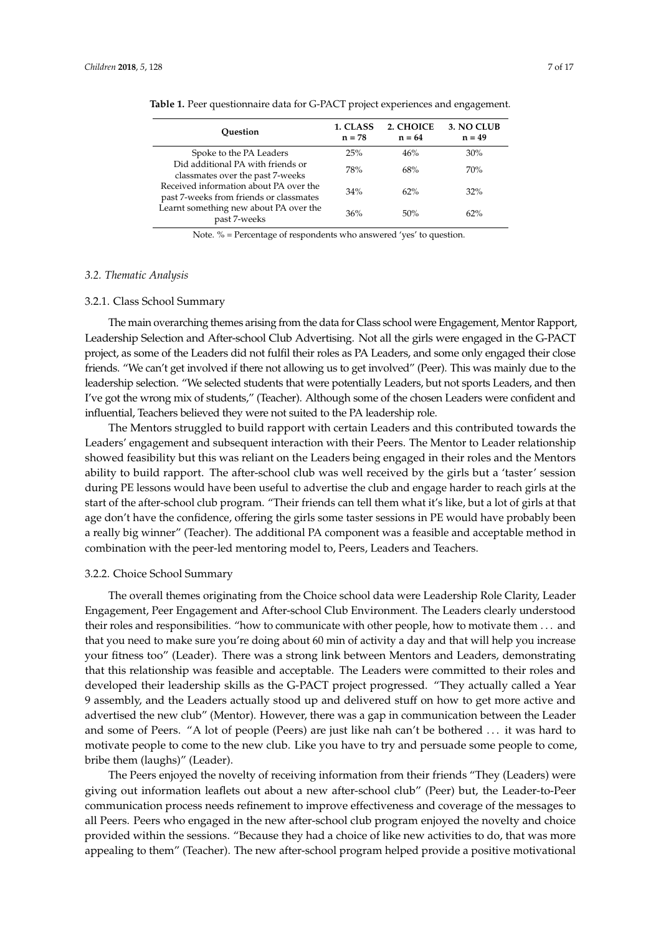| Ouestion                                                                          | 1. CLASS<br>$n = 78$ | 2. CHOICE<br>$n = 64$ | 3. NO CLUB<br>$n = 49$ |
|-----------------------------------------------------------------------------------|----------------------|-----------------------|------------------------|
| Spoke to the PA Leaders                                                           | 25%                  | 46%                   | 30%                    |
| Did additional PA with friends or<br>classmates over the past 7-weeks             | 78%                  | 68%                   | 70%                    |
| Received information about PA over the<br>past 7-weeks from friends or classmates | 34%                  | 62%                   | 32%                    |
| Learnt something new about PA over the<br>past 7-weeks                            | 36%                  | 50%                   | 62%                    |

<span id="page-7-0"></span>**Table 1.** Peer questionnaire data for G-PACT project experiences and engagement.

Note. % = Percentage of respondents who answered 'yes' to question.

# *3.2. Thematic Analysis*

#### 3.2.1. Class School Summary

The main overarching themes arising from the data for Class school were Engagement, Mentor Rapport, Leadership Selection and After-school Club Advertising. Not all the girls were engaged in the G-PACT project, as some of the Leaders did not fulfil their roles as PA Leaders, and some only engaged their close friends. "We can't get involved if there not allowing us to get involved" (Peer). This was mainly due to the leadership selection. "We selected students that were potentially Leaders, but not sports Leaders, and then I've got the wrong mix of students," (Teacher). Although some of the chosen Leaders were confident and influential, Teachers believed they were not suited to the PA leadership role.

The Mentors struggled to build rapport with certain Leaders and this contributed towards the Leaders' engagement and subsequent interaction with their Peers. The Mentor to Leader relationship showed feasibility but this was reliant on the Leaders being engaged in their roles and the Mentors ability to build rapport. The after-school club was well received by the girls but a 'taster' session during PE lessons would have been useful to advertise the club and engage harder to reach girls at the start of the after-school club program. "Their friends can tell them what it's like, but a lot of girls at that age don't have the confidence, offering the girls some taster sessions in PE would have probably been a really big winner" (Teacher). The additional PA component was a feasible and acceptable method in combination with the peer-led mentoring model to, Peers, Leaders and Teachers.

#### 3.2.2. Choice School Summary

The overall themes originating from the Choice school data were Leadership Role Clarity, Leader Engagement, Peer Engagement and After-school Club Environment. The Leaders clearly understood their roles and responsibilities. "how to communicate with other people, how to motivate them . . . and that you need to make sure you're doing about 60 min of activity a day and that will help you increase your fitness too" (Leader). There was a strong link between Mentors and Leaders, demonstrating that this relationship was feasible and acceptable. The Leaders were committed to their roles and developed their leadership skills as the G-PACT project progressed. "They actually called a Year 9 assembly, and the Leaders actually stood up and delivered stuff on how to get more active and advertised the new club" (Mentor). However, there was a gap in communication between the Leader and some of Peers. "A lot of people (Peers) are just like nah can't be bothered . . . it was hard to motivate people to come to the new club. Like you have to try and persuade some people to come, bribe them (laughs)" (Leader).

The Peers enjoyed the novelty of receiving information from their friends "They (Leaders) were giving out information leaflets out about a new after-school club" (Peer) but, the Leader-to-Peer communication process needs refinement to improve effectiveness and coverage of the messages to all Peers. Peers who engaged in the new after-school club program enjoyed the novelty and choice provided within the sessions. "Because they had a choice of like new activities to do, that was more appealing to them" (Teacher). The new after-school program helped provide a positive motivational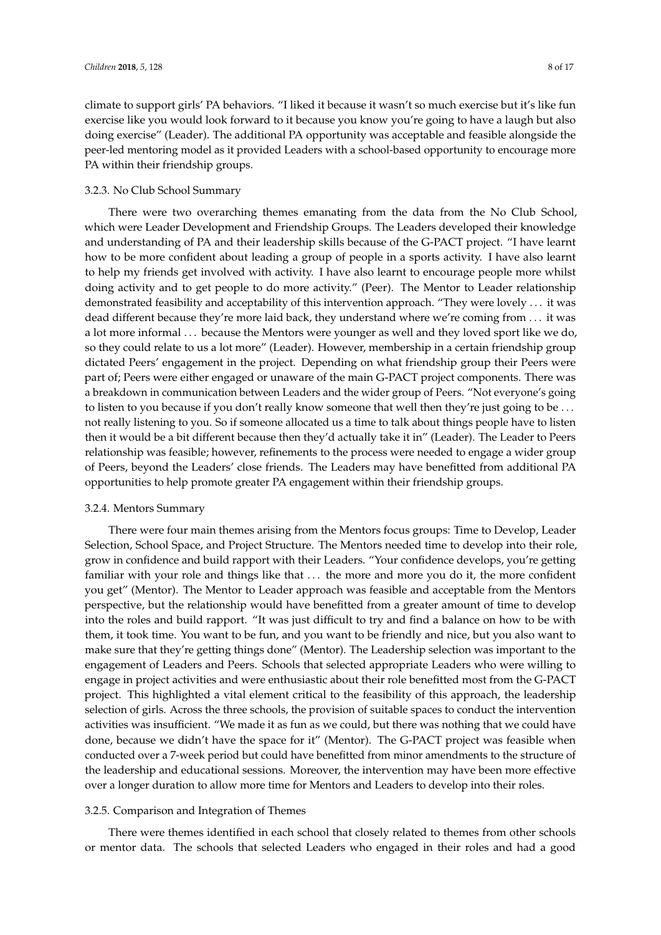climate to support girls' PA behaviors. "I liked it because it wasn't so much exercise but it's like fun exercise like you would look forward to it because you know you're going to have a laugh but also doing exercise" (Leader). The additional PA opportunity was acceptable and feasible alongside the peer-led mentoring model as it provided Leaders with a school-based opportunity to encourage more PA within their friendship groups.

# 3.2.3. No Club School Summary

There were two overarching themes emanating from the data from the No Club School, which were Leader Development and Friendship Groups. The Leaders developed their knowledge and understanding of PA and their leadership skills because of the G-PACT project. "I have learnt how to be more confident about leading a group of people in a sports activity. I have also learnt to help my friends get involved with activity. I have also learnt to encourage people more whilst doing activity and to get people to do more activity." (Peer). The Mentor to Leader relationship demonstrated feasibility and acceptability of this intervention approach. "They were lovely . . . it was dead different because they're more laid back, they understand where we're coming from . . . it was a lot more informal . . . because the Mentors were younger as well and they loved sport like we do, so they could relate to us a lot more" (Leader). However, membership in a certain friendship group dictated Peers' engagement in the project. Depending on what friendship group their Peers were part of; Peers were either engaged or unaware of the main G-PACT project components. There was a breakdown in communication between Leaders and the wider group of Peers. "Not everyone's going to listen to you because if you don't really know someone that well then they're just going to be ... not really listening to you. So if someone allocated us a time to talk about things people have to listen then it would be a bit different because then they'd actually take it in" (Leader). The Leader to Peers relationship was feasible; however, refinements to the process were needed to engage a wider group of Peers, beyond the Leaders' close friends. The Leaders may have benefitted from additional PA opportunities to help promote greater PA engagement within their friendship groups.

# 3.2.4. Mentors Summary

There were four main themes arising from the Mentors focus groups: Time to Develop, Leader Selection, School Space, and Project Structure. The Mentors needed time to develop into their role, grow in confidence and build rapport with their Leaders. "Your confidence develops, you're getting familiar with your role and things like that ... the more and more you do it, the more confident you get" (Mentor). The Mentor to Leader approach was feasible and acceptable from the Mentors perspective, but the relationship would have benefitted from a greater amount of time to develop into the roles and build rapport. "It was just difficult to try and find a balance on how to be with them, it took time. You want to be fun, and you want to be friendly and nice, but you also want to make sure that they're getting things done" (Mentor). The Leadership selection was important to the engagement of Leaders and Peers. Schools that selected appropriate Leaders who were willing to engage in project activities and were enthusiastic about their role benefitted most from the G-PACT project. This highlighted a vital element critical to the feasibility of this approach, the leadership selection of girls. Across the three schools, the provision of suitable spaces to conduct the intervention activities was insufficient. "We made it as fun as we could, but there was nothing that we could have done, because we didn't have the space for it" (Mentor). The G-PACT project was feasible when conducted over a 7-week period but could have benefitted from minor amendments to the structure of the leadership and educational sessions. Moreover, the intervention may have been more effective over a longer duration to allow more time for Mentors and Leaders to develop into their roles.

# 3.2.5. Comparison and Integration of Themes

There were themes identified in each school that closely related to themes from other schools or mentor data. The schools that selected Leaders who engaged in their roles and had a good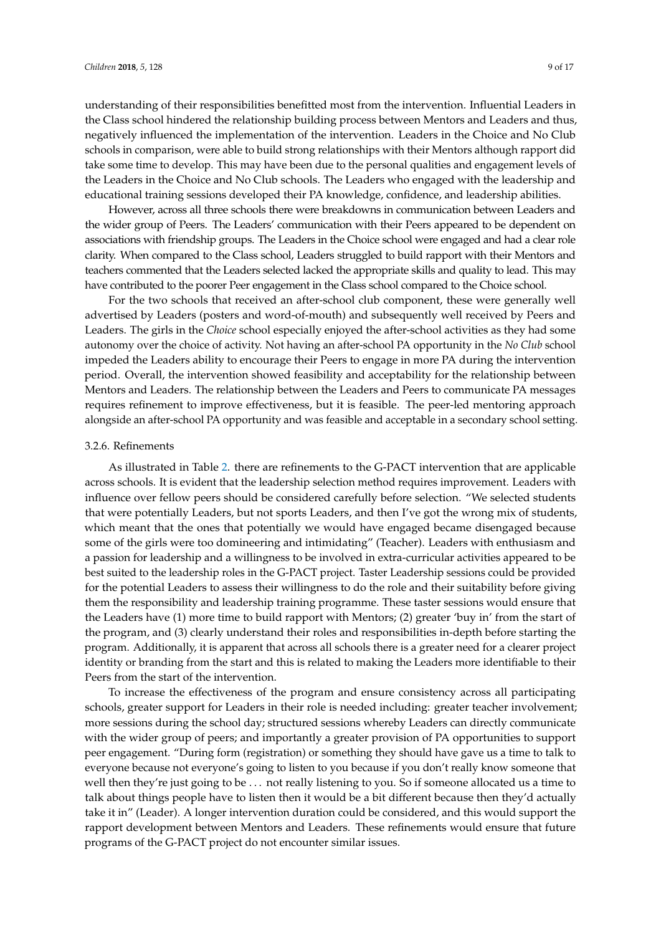understanding of their responsibilities benefitted most from the intervention. Influential Leaders in the Class school hindered the relationship building process between Mentors and Leaders and thus, negatively influenced the implementation of the intervention. Leaders in the Choice and No Club schools in comparison, were able to build strong relationships with their Mentors although rapport did take some time to develop. This may have been due to the personal qualities and engagement levels of the Leaders in the Choice and No Club schools. The Leaders who engaged with the leadership and educational training sessions developed their PA knowledge, confidence, and leadership abilities.

However, across all three schools there were breakdowns in communication between Leaders and the wider group of Peers. The Leaders' communication with their Peers appeared to be dependent on associations with friendship groups. The Leaders in the Choice school were engaged and had a clear role clarity. When compared to the Class school, Leaders struggled to build rapport with their Mentors and teachers commented that the Leaders selected lacked the appropriate skills and quality to lead. This may have contributed to the poorer Peer engagement in the Class school compared to the Choice school.

For the two schools that received an after-school club component, these were generally well advertised by Leaders (posters and word-of-mouth) and subsequently well received by Peers and Leaders. The girls in the *Choice* school especially enjoyed the after-school activities as they had some autonomy over the choice of activity. Not having an after-school PA opportunity in the *No Club* school impeded the Leaders ability to encourage their Peers to engage in more PA during the intervention period. Overall, the intervention showed feasibility and acceptability for the relationship between Mentors and Leaders. The relationship between the Leaders and Peers to communicate PA messages requires refinement to improve effectiveness, but it is feasible. The peer-led mentoring approach alongside an after-school PA opportunity and was feasible and acceptable in a secondary school setting.

#### 3.2.6. Refinements

As illustrated in Table [2.](#page-10-0) there are refinements to the G-PACT intervention that are applicable across schools. It is evident that the leadership selection method requires improvement. Leaders with influence over fellow peers should be considered carefully before selection. "We selected students that were potentially Leaders, but not sports Leaders, and then I've got the wrong mix of students, which meant that the ones that potentially we would have engaged became disengaged because some of the girls were too domineering and intimidating" (Teacher). Leaders with enthusiasm and a passion for leadership and a willingness to be involved in extra-curricular activities appeared to be best suited to the leadership roles in the G-PACT project. Taster Leadership sessions could be provided for the potential Leaders to assess their willingness to do the role and their suitability before giving them the responsibility and leadership training programme. These taster sessions would ensure that the Leaders have (1) more time to build rapport with Mentors; (2) greater 'buy in' from the start of the program, and (3) clearly understand their roles and responsibilities in-depth before starting the program. Additionally, it is apparent that across all schools there is a greater need for a clearer project identity or branding from the start and this is related to making the Leaders more identifiable to their Peers from the start of the intervention.

To increase the effectiveness of the program and ensure consistency across all participating schools, greater support for Leaders in their role is needed including: greater teacher involvement; more sessions during the school day; structured sessions whereby Leaders can directly communicate with the wider group of peers; and importantly a greater provision of PA opportunities to support peer engagement. "During form (registration) or something they should have gave us a time to talk to everyone because not everyone's going to listen to you because if you don't really know someone that well then they're just going to be . . . not really listening to you. So if someone allocated us a time to talk about things people have to listen then it would be a bit different because then they'd actually take it in" (Leader). A longer intervention duration could be considered, and this would support the rapport development between Mentors and Leaders. These refinements would ensure that future programs of the G-PACT project do not encounter similar issues.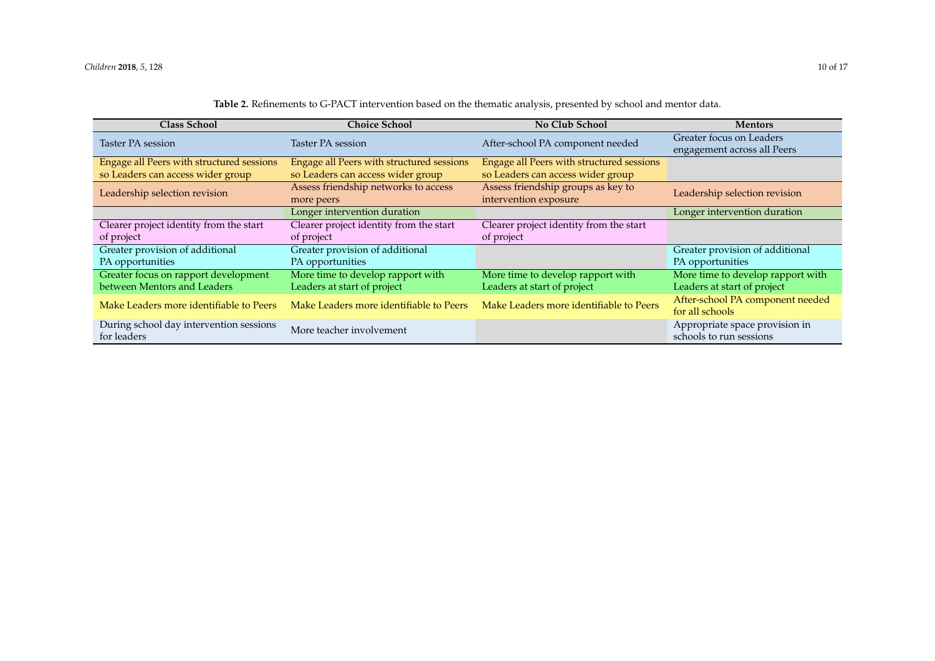<span id="page-10-0"></span>

| <b>Class School</b>                       | <b>Choice School</b>                      | <b>No Club School</b>                     | <b>Mentors</b>                    |  |
|-------------------------------------------|-------------------------------------------|-------------------------------------------|-----------------------------------|--|
| Taster PA session                         | Taster PA session                         | After-school PA component needed          | Greater focus on Leaders          |  |
|                                           |                                           |                                           | engagement across all Peers       |  |
| Engage all Peers with structured sessions | Engage all Peers with structured sessions | Engage all Peers with structured sessions |                                   |  |
| so Leaders can access wider group         | so Leaders can access wider group         | so Leaders can access wider group         |                                   |  |
| Leadership selection revision             | Assess friendship networks to access      | Assess friendship groups as key to        | Leadership selection revision     |  |
|                                           | more peers                                | intervention exposure                     |                                   |  |
|                                           | Longer intervention duration              |                                           | Longer intervention duration      |  |
| Clearer project identity from the start   | Clearer project identity from the start   | Clearer project identity from the start   |                                   |  |
| of project                                | of project                                | of project                                |                                   |  |
| Greater provision of additional           | Greater provision of additional           |                                           | Greater provision of additional   |  |
| PA opportunities                          | PA opportunities                          |                                           | PA opportunities                  |  |
| Greater focus on rapport development      | More time to develop rapport with         | More time to develop rapport with         | More time to develop rapport with |  |
| between Mentors and Leaders               | Leaders at start of project               | Leaders at start of project               | Leaders at start of project       |  |
| Make Leaders more identifiable to Peers   | Make Leaders more identifiable to Peers   | Make Leaders more identifiable to Peers   | After-school PA component needed  |  |
|                                           |                                           |                                           | for all schools                   |  |
| During school day intervention sessions   | More teacher involvement                  |                                           | Appropriate space provision in    |  |
| for leaders                               |                                           |                                           | schools to run sessions           |  |

# **Table 2.** Refinements to G-PACT intervention based on the thematic analysis, presented by school and mentor data.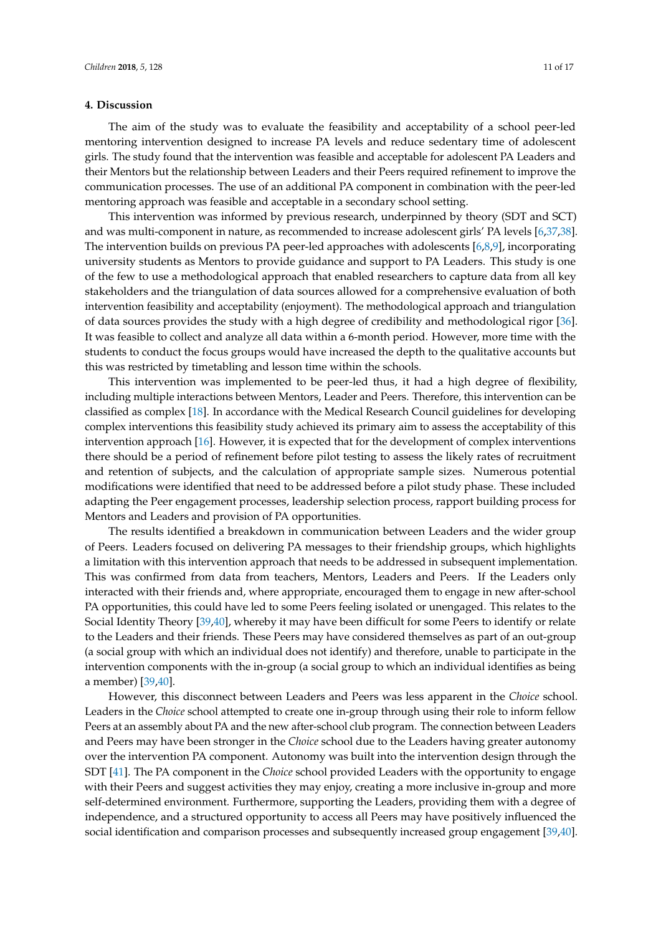# **4. Discussion**

The aim of the study was to evaluate the feasibility and acceptability of a school peer-led mentoring intervention designed to increase PA levels and reduce sedentary time of adolescent girls. The study found that the intervention was feasible and acceptable for adolescent PA Leaders and their Mentors but the relationship between Leaders and their Peers required refinement to improve the communication processes. The use of an additional PA component in combination with the peer-led mentoring approach was feasible and acceptable in a secondary school setting.

This intervention was informed by previous research, underpinned by theory (SDT and SCT) and was multi-component in nature, as recommended to increase adolescent girls' PA levels [\[6](#page-14-5)[,37](#page-16-11)[,38\]](#page-16-12). The intervention builds on previous PA peer-led approaches with adolescents [\[6,](#page-14-5)[8](#page-15-16)[,9\]](#page-15-0), incorporating university students as Mentors to provide guidance and support to PA Leaders. This study is one of the few to use a methodological approach that enabled researchers to capture data from all key stakeholders and the triangulation of data sources allowed for a comprehensive evaluation of both intervention feasibility and acceptability (enjoyment). The methodological approach and triangulation of data sources provides the study with a high degree of credibility and methodological rigor [\[36\]](#page-16-10). It was feasible to collect and analyze all data within a 6-month period. However, more time with the students to conduct the focus groups would have increased the depth to the qualitative accounts but this was restricted by timetabling and lesson time within the schools.

This intervention was implemented to be peer-led thus, it had a high degree of flexibility, including multiple interactions between Mentors, Leader and Peers. Therefore, this intervention can be classified as complex [\[18\]](#page-15-9). In accordance with the Medical Research Council guidelines for developing complex interventions this feasibility study achieved its primary aim to assess the acceptability of this intervention approach [\[16\]](#page-15-7). However, it is expected that for the development of complex interventions there should be a period of refinement before pilot testing to assess the likely rates of recruitment and retention of subjects, and the calculation of appropriate sample sizes. Numerous potential modifications were identified that need to be addressed before a pilot study phase. These included adapting the Peer engagement processes, leadership selection process, rapport building process for Mentors and Leaders and provision of PA opportunities.

The results identified a breakdown in communication between Leaders and the wider group of Peers. Leaders focused on delivering PA messages to their friendship groups, which highlights a limitation with this intervention approach that needs to be addressed in subsequent implementation. This was confirmed from data from teachers, Mentors, Leaders and Peers. If the Leaders only interacted with their friends and, where appropriate, encouraged them to engage in new after-school PA opportunities, this could have led to some Peers feeling isolated or unengaged. This relates to the Social Identity Theory [\[39](#page-16-13)[,40\]](#page-16-14), whereby it may have been difficult for some Peers to identify or relate to the Leaders and their friends. These Peers may have considered themselves as part of an out-group (a social group with which an individual does not identify) and therefore, unable to participate in the intervention components with the in-group (a social group to which an individual identifies as being a member) [\[39,](#page-16-13)[40\]](#page-16-14).

However, this disconnect between Leaders and Peers was less apparent in the *Choice* school. Leaders in the *Choice* school attempted to create one in-group through using their role to inform fellow Peers at an assembly about PA and the new after-school club program. The connection between Leaders and Peers may have been stronger in the *Choice* school due to the Leaders having greater autonomy over the intervention PA component. Autonomy was built into the intervention design through the SDT [\[41\]](#page-16-15). The PA component in the *Choice* school provided Leaders with the opportunity to engage with their Peers and suggest activities they may enjoy, creating a more inclusive in-group and more self-determined environment. Furthermore, supporting the Leaders, providing them with a degree of independence, and a structured opportunity to access all Peers may have positively influenced the social identification and comparison processes and subsequently increased group engagement [\[39](#page-16-13)[,40\]](#page-16-14).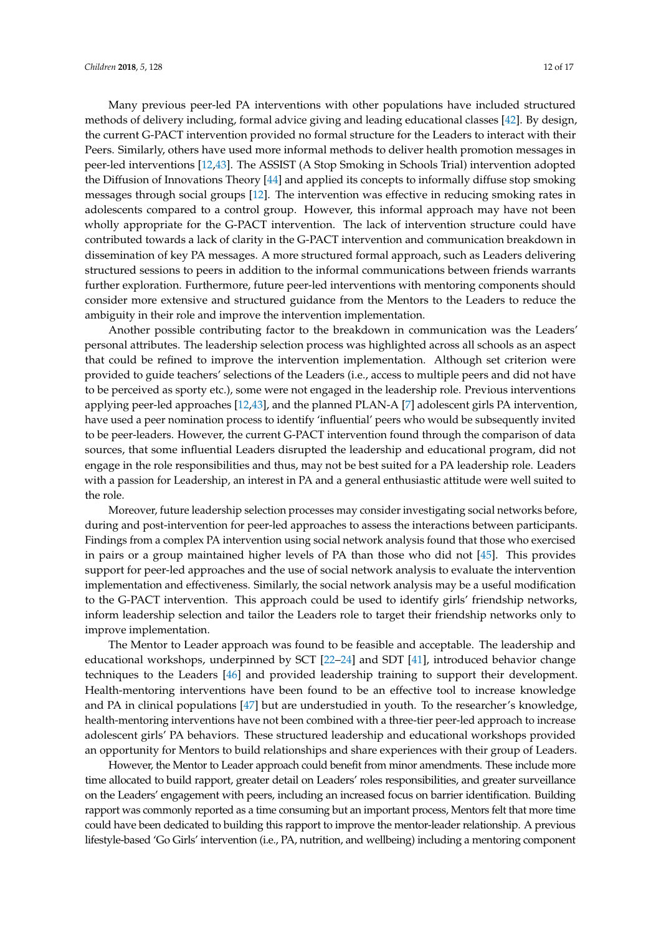Many previous peer-led PA interventions with other populations have included structured methods of delivery including, formal advice giving and leading educational classes [\[42\]](#page-16-16). By design, the current G-PACT intervention provided no formal structure for the Leaders to interact with their Peers. Similarly, others have used more informal methods to deliver health promotion messages in peer-led interventions [\[12,](#page-15-3)[43\]](#page-16-17). The ASSIST (A Stop Smoking in Schools Trial) intervention adopted the Diffusion of Innovations Theory [\[44\]](#page-16-18) and applied its concepts to informally diffuse stop smoking messages through social groups [\[12\]](#page-15-3). The intervention was effective in reducing smoking rates in adolescents compared to a control group. However, this informal approach may have not been wholly appropriate for the G-PACT intervention. The lack of intervention structure could have contributed towards a lack of clarity in the G-PACT intervention and communication breakdown in dissemination of key PA messages. A more structured formal approach, such as Leaders delivering structured sessions to peers in addition to the informal communications between friends warrants further exploration. Furthermore, future peer-led interventions with mentoring components should consider more extensive and structured guidance from the Mentors to the Leaders to reduce the ambiguity in their role and improve the intervention implementation.

Another possible contributing factor to the breakdown in communication was the Leaders' personal attributes. The leadership selection process was highlighted across all schools as an aspect that could be refined to improve the intervention implementation. Although set criterion were provided to guide teachers' selections of the Leaders (i.e., access to multiple peers and did not have to be perceived as sporty etc.), some were not engaged in the leadership role. Previous interventions applying peer-led approaches [\[12](#page-15-3)[,43\]](#page-16-17), and the planned PLAN-A [\[7\]](#page-15-17) adolescent girls PA intervention, have used a peer nomination process to identify 'influential' peers who would be subsequently invited to be peer-leaders. However, the current G-PACT intervention found through the comparison of data sources, that some influential Leaders disrupted the leadership and educational program, did not engage in the role responsibilities and thus, may not be best suited for a PA leadership role. Leaders with a passion for Leadership, an interest in PA and a general enthusiastic attitude were well suited to the role.

Moreover, future leadership selection processes may consider investigating social networks before, during and post-intervention for peer-led approaches to assess the interactions between participants. Findings from a complex PA intervention using social network analysis found that those who exercised in pairs or a group maintained higher levels of PA than those who did not [\[45\]](#page-16-19). This provides support for peer-led approaches and the use of social network analysis to evaluate the intervention implementation and effectiveness. Similarly, the social network analysis may be a useful modification to the G-PACT intervention. This approach could be used to identify girls' friendship networks, inform leadership selection and tailor the Leaders role to target their friendship networks only to improve implementation.

The Mentor to Leader approach was found to be feasible and acceptable. The leadership and educational workshops, underpinned by SCT [\[22–](#page-15-13)[24\]](#page-15-14) and SDT [\[41\]](#page-16-15), introduced behavior change techniques to the Leaders [\[46\]](#page-16-20) and provided leadership training to support their development. Health-mentoring interventions have been found to be an effective tool to increase knowledge and PA in clinical populations [\[47\]](#page-16-21) but are understudied in youth. To the researcher's knowledge, health-mentoring interventions have not been combined with a three-tier peer-led approach to increase adolescent girls' PA behaviors. These structured leadership and educational workshops provided an opportunity for Mentors to build relationships and share experiences with their group of Leaders.

However, the Mentor to Leader approach could benefit from minor amendments. These include more time allocated to build rapport, greater detail on Leaders' roles responsibilities, and greater surveillance on the Leaders' engagement with peers, including an increased focus on barrier identification. Building rapport was commonly reported as a time consuming but an important process, Mentors felt that more time could have been dedicated to building this rapport to improve the mentor-leader relationship. A previous lifestyle-based 'Go Girls' intervention (i.e., PA, nutrition, and wellbeing) including a mentoring component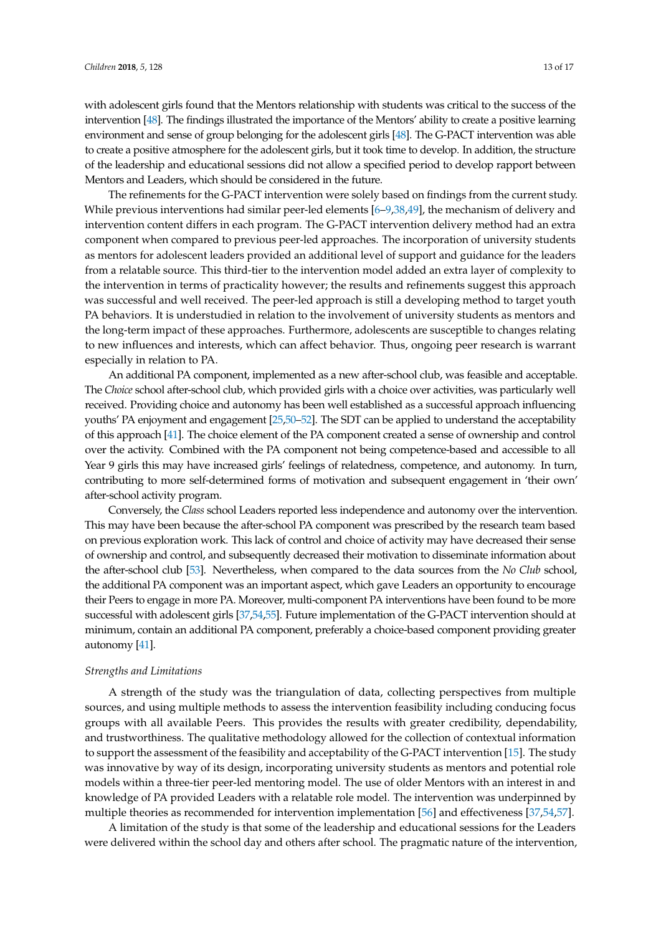with adolescent girls found that the Mentors relationship with students was critical to the success of the intervention [\[48\]](#page-16-22). The findings illustrated the importance of the Mentors' ability to create a positive learning environment and sense of group belonging for the adolescent girls [\[48\]](#page-16-22). The G-PACT intervention was able to create a positive atmosphere for the adolescent girls, but it took time to develop. In addition, the structure of the leadership and educational sessions did not allow a specified period to develop rapport between Mentors and Leaders, which should be considered in the future.

The refinements for the G-PACT intervention were solely based on findings from the current study. While previous interventions had similar peer-led elements [\[6](#page-14-5)-9[,38](#page-16-12)[,49\]](#page-16-23), the mechanism of delivery and intervention content differs in each program. The G-PACT intervention delivery method had an extra component when compared to previous peer-led approaches. The incorporation of university students as mentors for adolescent leaders provided an additional level of support and guidance for the leaders from a relatable source. This third-tier to the intervention model added an extra layer of complexity to the intervention in terms of practicality however; the results and refinements suggest this approach was successful and well received. The peer-led approach is still a developing method to target youth PA behaviors. It is understudied in relation to the involvement of university students as mentors and the long-term impact of these approaches. Furthermore, adolescents are susceptible to changes relating to new influences and interests, which can affect behavior. Thus, ongoing peer research is warrant especially in relation to PA.

An additional PA component, implemented as a new after-school club, was feasible and acceptable. The *Choice* school after-school club, which provided girls with a choice over activities, was particularly well received. Providing choice and autonomy has been well established as a successful approach influencing youths' PA enjoyment and engagement [\[25](#page-15-15)[,50](#page-17-0)[–52\]](#page-17-1). The SDT can be applied to understand the acceptability of this approach [\[41\]](#page-16-15). The choice element of the PA component created a sense of ownership and control over the activity. Combined with the PA component not being competence-based and accessible to all Year 9 girls this may have increased girls' feelings of relatedness, competence, and autonomy. In turn, contributing to more self-determined forms of motivation and subsequent engagement in 'their own' after-school activity program.

Conversely, the *Class* school Leaders reported less independence and autonomy over the intervention. This may have been because the after-school PA component was prescribed by the research team based on previous exploration work. This lack of control and choice of activity may have decreased their sense of ownership and control, and subsequently decreased their motivation to disseminate information about the after-school club [\[53\]](#page-17-2). Nevertheless, when compared to the data sources from the *No Club* school, the additional PA component was an important aspect, which gave Leaders an opportunity to encourage their Peers to engage in more PA. Moreover, multi-component PA interventions have been found to be more successful with adolescent girls [\[37,](#page-16-11)[54](#page-17-3)[,55\]](#page-17-4). Future implementation of the G-PACT intervention should at minimum, contain an additional PA component, preferably a choice-based component providing greater autonomy [\[41\]](#page-16-15).

#### *Strengths and Limitations*

A strength of the study was the triangulation of data, collecting perspectives from multiple sources, and using multiple methods to assess the intervention feasibility including conducing focus groups with all available Peers. This provides the results with greater credibility, dependability, and trustworthiness. The qualitative methodology allowed for the collection of contextual information to support the assessment of the feasibility and acceptability of the G-PACT intervention [\[15\]](#page-15-6). The study was innovative by way of its design, incorporating university students as mentors and potential role models within a three-tier peer-led mentoring model. The use of older Mentors with an interest in and knowledge of PA provided Leaders with a relatable role model. The intervention was underpinned by multiple theories as recommended for intervention implementation [\[56\]](#page-17-5) and effectiveness [\[37,](#page-16-11)[54,](#page-17-3)[57\]](#page-17-6).

A limitation of the study is that some of the leadership and educational sessions for the Leaders were delivered within the school day and others after school. The pragmatic nature of the intervention,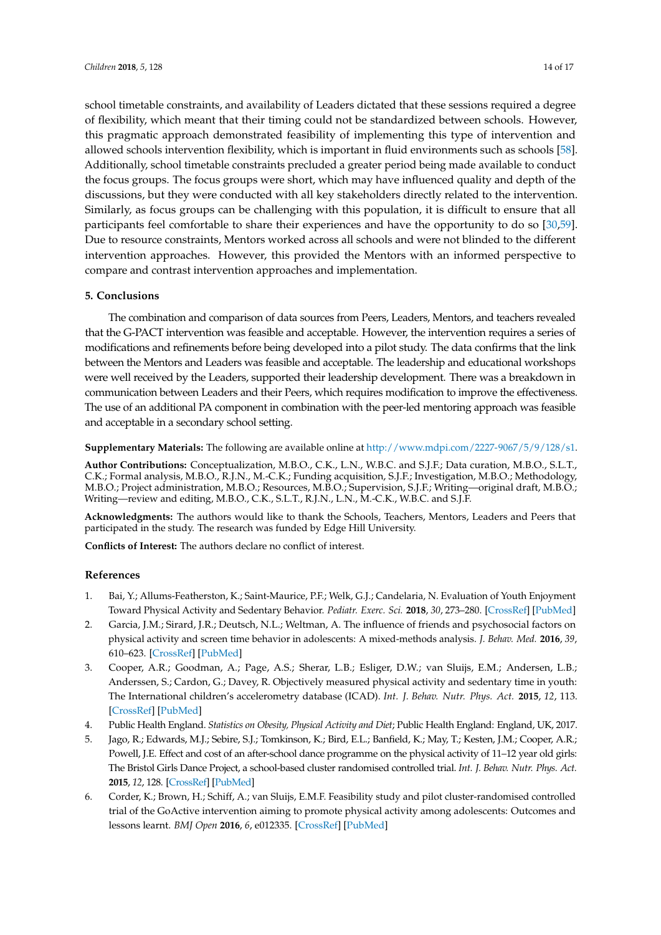school timetable constraints, and availability of Leaders dictated that these sessions required a degree of flexibility, which meant that their timing could not be standardized between schools. However, this pragmatic approach demonstrated feasibility of implementing this type of intervention and allowed schools intervention flexibility, which is important in fluid environments such as schools [\[58\]](#page-17-7). Additionally, school timetable constraints precluded a greater period being made available to conduct the focus groups. The focus groups were short, which may have influenced quality and depth of the discussions, but they were conducted with all key stakeholders directly related to the intervention. Similarly, as focus groups can be challenging with this population, it is difficult to ensure that all participants feel comfortable to share their experiences and have the opportunity to do so [\[30,](#page-16-2)[59\]](#page-17-8). Due to resource constraints, Mentors worked across all schools and were not blinded to the different intervention approaches. However, this provided the Mentors with an informed perspective to compare and contrast intervention approaches and implementation.

# **5. Conclusions**

The combination and comparison of data sources from Peers, Leaders, Mentors, and teachers revealed that the G-PACT intervention was feasible and acceptable. However, the intervention requires a series of modifications and refinements before being developed into a pilot study. The data confirms that the link between the Mentors and Leaders was feasible and acceptable. The leadership and educational workshops were well received by the Leaders, supported their leadership development. There was a breakdown in communication between Leaders and their Peers, which requires modification to improve the effectiveness. The use of an additional PA component in combination with the peer-led mentoring approach was feasible and acceptable in a secondary school setting.

**Supplementary Materials:** The following are available online at [http://www.mdpi.com/2227-9067/5/9/128/s1.](http://www.mdpi.com/2227-9067/5/9/128/s1)

**Author Contributions:** Conceptualization, M.B.O., C.K., L.N., W.B.C. and S.J.F.; Data curation, M.B.O., S.L.T., C.K.; Formal analysis, M.B.O., R.J.N., M.-C.K.; Funding acquisition, S.J.F.; Investigation, M.B.O.; Methodology, M.B.O.; Project administration, M.B.O.; Resources, M.B.O.; Supervision, S.J.F.; Writing—original draft, M.B.O.; Writing—review and editing, M.B.O., C.K., S.L.T., R.J.N., L.N., M.-C.K., W.B.C. and S.J.F.

**Acknowledgments:** The authors would like to thank the Schools, Teachers, Mentors, Leaders and Peers that participated in the study. The research was funded by Edge Hill University.

**Conflicts of Interest:** The authors declare no conflict of interest.

# **References**

- <span id="page-14-0"></span>1. Bai, Y.; Allums-Featherston, K.; Saint-Maurice, P.F.; Welk, G.J.; Candelaria, N. Evaluation of Youth Enjoyment Toward Physical Activity and Sedentary Behavior. *Pediatr. Exerc. Sci.* **2018**, *30*, 273–280. [\[CrossRef\]](http://dx.doi.org/10.1123/pes.2017-0101) [\[PubMed\]](http://www.ncbi.nlm.nih.gov/pubmed/29168422)
- <span id="page-14-1"></span>2. Garcia, J.M.; Sirard, J.R.; Deutsch, N.L.; Weltman, A. The influence of friends and psychosocial factors on physical activity and screen time behavior in adolescents: A mixed-methods analysis. *J. Behav. Med.* **2016**, *39*, 610–623. [\[CrossRef\]](http://dx.doi.org/10.1007/s10865-016-9738-6) [\[PubMed\]](http://www.ncbi.nlm.nih.gov/pubmed/27055818)
- <span id="page-14-2"></span>3. Cooper, A.R.; Goodman, A.; Page, A.S.; Sherar, L.B.; Esliger, D.W.; van Sluijs, E.M.; Andersen, L.B.; Anderssen, S.; Cardon, G.; Davey, R. Objectively measured physical activity and sedentary time in youth: The International children's accelerometry database (ICAD). *Int. J. Behav. Nutr. Phys. Act.* **2015**, *12*, 113. [\[CrossRef\]](http://dx.doi.org/10.1186/s12966-015-0274-5) [\[PubMed\]](http://www.ncbi.nlm.nih.gov/pubmed/26377803)
- <span id="page-14-3"></span>4. Public Health England. *Statistics on Obesity, Physical Activity and Diet*; Public Health England: England, UK, 2017.
- <span id="page-14-4"></span>5. Jago, R.; Edwards, M.J.; Sebire, S.J.; Tomkinson, K.; Bird, E.L.; Banfield, K.; May, T.; Kesten, J.M.; Cooper, A.R.; Powell, J.E. Effect and cost of an after-school dance programme on the physical activity of 11–12 year old girls: The Bristol Girls Dance Project, a school-based cluster randomised controlled trial. *Int. J. Behav. Nutr. Phys. Act.* **2015**, *12*, 128. [\[CrossRef\]](http://dx.doi.org/10.1186/s12966-015-0289-y) [\[PubMed\]](http://www.ncbi.nlm.nih.gov/pubmed/26437720)
- <span id="page-14-5"></span>6. Corder, K.; Brown, H.; Schiff, A.; van Sluijs, E.M.F. Feasibility study and pilot cluster-randomised controlled trial of the GoActive intervention aiming to promote physical activity among adolescents: Outcomes and lessons learnt. *BMJ Open* **2016**, *6*, e012335. [\[CrossRef\]](http://dx.doi.org/10.1136/bmjopen-2016-012335) [\[PubMed\]](http://www.ncbi.nlm.nih.gov/pubmed/27836873)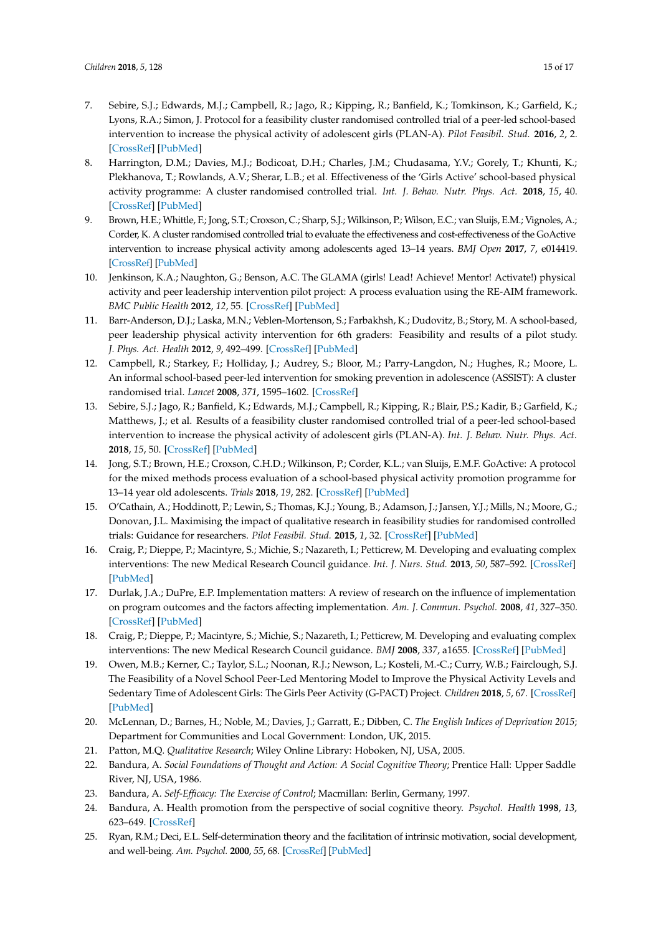- <span id="page-15-17"></span>7. Sebire, S.J.; Edwards, M.J.; Campbell, R.; Jago, R.; Kipping, R.; Banfield, K.; Tomkinson, K.; Garfield, K.; Lyons, R.A.; Simon, J. Protocol for a feasibility cluster randomised controlled trial of a peer-led school-based intervention to increase the physical activity of adolescent girls (PLAN-A). *Pilot Feasibil. Stud.* **2016**, *2*, 2. [\[CrossRef\]](http://dx.doi.org/10.1186/s40814-015-0045-8) [\[PubMed\]](http://www.ncbi.nlm.nih.gov/pubmed/27966675)
- <span id="page-15-16"></span>8. Harrington, D.M.; Davies, M.J.; Bodicoat, D.H.; Charles, J.M.; Chudasama, Y.V.; Gorely, T.; Khunti, K.; Plekhanova, T.; Rowlands, A.V.; Sherar, L.B.; et al. Effectiveness of the 'Girls Active' school-based physical activity programme: A cluster randomised controlled trial. *Int. J. Behav. Nutr. Phys. Act.* **2018**, *15*, 40. [\[CrossRef\]](http://dx.doi.org/10.1186/s12966-018-0664-6) [\[PubMed\]](http://www.ncbi.nlm.nih.gov/pubmed/29695250)
- <span id="page-15-0"></span>9. Brown, H.E.; Whittle, F.; Jong, S.T.; Croxson, C.; Sharp, S.J.; Wilkinson, P.; Wilson, E.C.; van Sluijs, E.M.; Vignoles, A.; Corder, K. A cluster randomised controlled trial to evaluate the effectiveness and cost-effectiveness of the GoActive intervention to increase physical activity among adolescents aged 13–14 years. *BMJ Open* **2017**, *7*, e014419. [\[CrossRef\]](http://dx.doi.org/10.1136/bmjopen-2016-014419) [\[PubMed\]](http://www.ncbi.nlm.nih.gov/pubmed/28963278)
- <span id="page-15-1"></span>10. Jenkinson, K.A.; Naughton, G.; Benson, A.C. The GLAMA (girls! Lead! Achieve! Mentor! Activate!) physical activity and peer leadership intervention pilot project: A process evaluation using the RE-AIM framework. *BMC Public Health* **2012**, *12*, 55. [\[CrossRef\]](http://dx.doi.org/10.1186/1471-2458-12-55) [\[PubMed\]](http://www.ncbi.nlm.nih.gov/pubmed/22260195)
- <span id="page-15-2"></span>11. Barr-Anderson, D.J.; Laska, M.N.; Veblen-Mortenson, S.; Farbakhsh, K.; Dudovitz, B.; Story, M. A school-based, peer leadership physical activity intervention for 6th graders: Feasibility and results of a pilot study. *J. Phys. Act. Health* **2012**, *9*, 492–499. [\[CrossRef\]](http://dx.doi.org/10.1123/jpah.9.4.492) [\[PubMed\]](http://www.ncbi.nlm.nih.gov/pubmed/21945980)
- <span id="page-15-3"></span>12. Campbell, R.; Starkey, F.; Holliday, J.; Audrey, S.; Bloor, M.; Parry-Langdon, N.; Hughes, R.; Moore, L. An informal school-based peer-led intervention for smoking prevention in adolescence (ASSIST): A cluster randomised trial. *Lancet* **2008**, *371*, 1595–1602. [\[CrossRef\]](http://dx.doi.org/10.1016/S0140-6736(08)60692-3)
- <span id="page-15-4"></span>13. Sebire, S.J.; Jago, R.; Banfield, K.; Edwards, M.J.; Campbell, R.; Kipping, R.; Blair, P.S.; Kadir, B.; Garfield, K.; Matthews, J.; et al. Results of a feasibility cluster randomised controlled trial of a peer-led school-based intervention to increase the physical activity of adolescent girls (PLAN-A). *Int. J. Behav. Nutr. Phys. Act.* **2018**, *15*, 50. [\[CrossRef\]](http://dx.doi.org/10.1186/s12966-018-0682-4) [\[PubMed\]](http://www.ncbi.nlm.nih.gov/pubmed/29880048)
- <span id="page-15-5"></span>14. Jong, S.T.; Brown, H.E.; Croxson, C.H.D.; Wilkinson, P.; Corder, K.L.; van Sluijs, E.M.F. GoActive: A protocol for the mixed methods process evaluation of a school-based physical activity promotion programme for 13–14 year old adolescents. *Trials* **2018**, *19*, 282. [\[CrossRef\]](http://dx.doi.org/10.1186/s13063-018-2661-0) [\[PubMed\]](http://www.ncbi.nlm.nih.gov/pubmed/29784016)
- <span id="page-15-6"></span>15. O'Cathain, A.; Hoddinott, P.; Lewin, S.; Thomas, K.J.; Young, B.; Adamson, J.; Jansen, Y.J.; Mills, N.; Moore, G.; Donovan, J.L. Maximising the impact of qualitative research in feasibility studies for randomised controlled trials: Guidance for researchers. *Pilot Feasibil. Stud.* **2015**, *1*, 32. [\[CrossRef\]](http://dx.doi.org/10.1186/s40814-015-0026-y) [\[PubMed\]](http://www.ncbi.nlm.nih.gov/pubmed/27965810)
- <span id="page-15-7"></span>16. Craig, P.; Dieppe, P.; Macintyre, S.; Michie, S.; Nazareth, I.; Petticrew, M. Developing and evaluating complex interventions: The new Medical Research Council guidance. *Int. J. Nurs. Stud.* **2013**, *50*, 587–592. [\[CrossRef\]](http://dx.doi.org/10.1016/j.ijnurstu.2012.09.010) [\[PubMed\]](http://www.ncbi.nlm.nih.gov/pubmed/23159157)
- <span id="page-15-8"></span>17. Durlak, J.A.; DuPre, E.P. Implementation matters: A review of research on the influence of implementation on program outcomes and the factors affecting implementation. *Am. J. Commun. Psychol.* **2008**, *41*, 327–350. [\[CrossRef\]](http://dx.doi.org/10.1007/s10464-008-9165-0) [\[PubMed\]](http://www.ncbi.nlm.nih.gov/pubmed/18322790)
- <span id="page-15-9"></span>18. Craig, P.; Dieppe, P.; Macintyre, S.; Michie, S.; Nazareth, I.; Petticrew, M. Developing and evaluating complex interventions: The new Medical Research Council guidance. *BMJ* **2008**, *337*, a1655. [\[CrossRef\]](http://dx.doi.org/10.1136/bmj.a1655) [\[PubMed\]](http://www.ncbi.nlm.nih.gov/pubmed/18824488)
- <span id="page-15-10"></span>19. Owen, M.B.; Kerner, C.; Taylor, S.L.; Noonan, R.J.; Newson, L.; Kosteli, M.-C.; Curry, W.B.; Fairclough, S.J. The Feasibility of a Novel School Peer-Led Mentoring Model to Improve the Physical Activity Levels and Sedentary Time of Adolescent Girls: The Girls Peer Activity (G-PACT) Project. *Children* **2018**, *5*, 67. [\[CrossRef\]](http://dx.doi.org/10.3390/children5060067) [\[PubMed\]](http://www.ncbi.nlm.nih.gov/pubmed/29857554)
- <span id="page-15-11"></span>20. McLennan, D.; Barnes, H.; Noble, M.; Davies, J.; Garratt, E.; Dibben, C. *The English Indices of Deprivation 2015*; Department for Communities and Local Government: London, UK, 2015.
- <span id="page-15-12"></span>21. Patton, M.Q. *Qualitative Research*; Wiley Online Library: Hoboken, NJ, USA, 2005.
- <span id="page-15-13"></span>22. Bandura, A. *Social Foundations of Thought and Action: A Social Cognitive Theory*; Prentice Hall: Upper Saddle River, NJ, USA, 1986.
- 23. Bandura, A. *Self-Efficacy: The Exercise of Control*; Macmillan: Berlin, Germany, 1997.
- <span id="page-15-14"></span>24. Bandura, A. Health promotion from the perspective of social cognitive theory. *Psychol. Health* **1998**, *13*, 623–649. [\[CrossRef\]](http://dx.doi.org/10.1080/08870449808407422)
- <span id="page-15-15"></span>25. Ryan, R.M.; Deci, E.L. Self-determination theory and the facilitation of intrinsic motivation, social development, and well-being. *Am. Psychol.* **2000**, *55*, 68. [\[CrossRef\]](http://dx.doi.org/10.1037/0003-066X.55.1.68) [\[PubMed\]](http://www.ncbi.nlm.nih.gov/pubmed/11392867)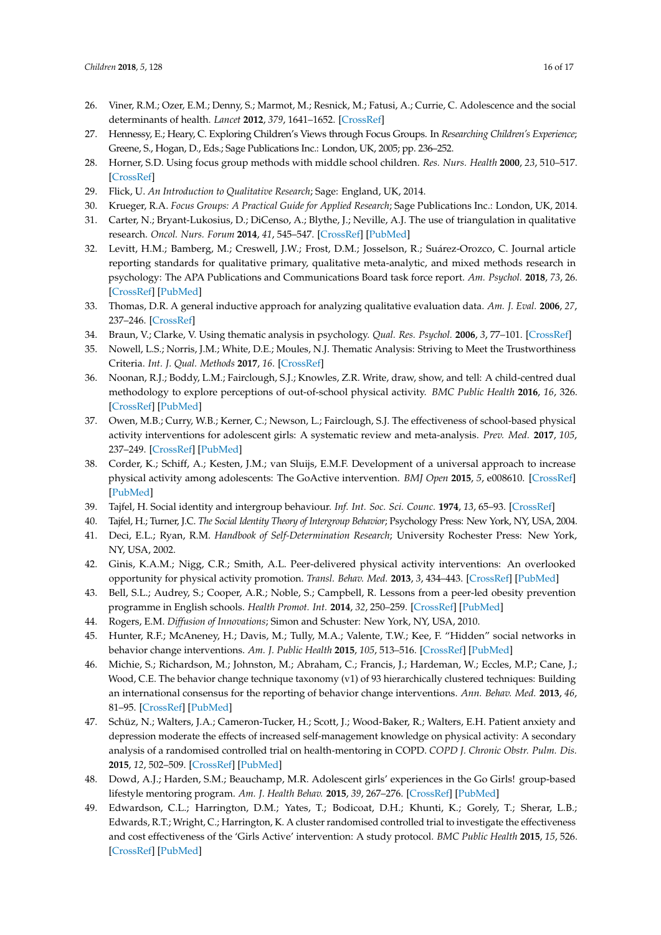- <span id="page-16-0"></span>26. Viner, R.M.; Ozer, E.M.; Denny, S.; Marmot, M.; Resnick, M.; Fatusi, A.; Currie, C. Adolescence and the social determinants of health. *Lancet* **2012**, *379*, 1641–1652. [\[CrossRef\]](http://dx.doi.org/10.1016/S0140-6736(12)60149-4)
- <span id="page-16-1"></span>27. Hennessy, E.; Heary, C. Exploring Children's Views through Focus Groups. In *Researching Children's Experience*; Greene, S., Hogan, D., Eds.; Sage Publications Inc.: London, UK, 2005; pp. 236–252.
- <span id="page-16-3"></span>28. Horner, S.D. Using focus group methods with middle school children. *Res. Nurs. Health* **2000**, *23*, 510–517. [\[CrossRef\]](http://dx.doi.org/10.1002/1098-240X(200012)23:6<510::AID-NUR9>3.0.CO;2-L)
- <span id="page-16-4"></span>29. Flick, U. *An Introduction to Qualitative Research*; Sage: England, UK, 2014.
- <span id="page-16-2"></span>30. Krueger, R.A. *Focus Groups: A Practical Guide for Applied Research*; Sage Publications Inc.: London, UK, 2014.
- <span id="page-16-5"></span>31. Carter, N.; Bryant-Lukosius, D.; DiCenso, A.; Blythe, J.; Neville, A.J. The use of triangulation in qualitative research. *Oncol. Nurs. Forum* **2014**, *41*, 545–547. [\[CrossRef\]](http://dx.doi.org/10.1188/14.ONF.545-547) [\[PubMed\]](http://www.ncbi.nlm.nih.gov/pubmed/25158659)
- <span id="page-16-6"></span>32. Levitt, H.M.; Bamberg, M.; Creswell, J.W.; Frost, D.M.; Josselson, R.; Suárez-Orozco, C. Journal article reporting standards for qualitative primary, qualitative meta-analytic, and mixed methods research in psychology: The APA Publications and Communications Board task force report. *Am. Psychol.* **2018**, *73*, 26. [\[CrossRef\]](http://dx.doi.org/10.1037/amp0000151) [\[PubMed\]](http://www.ncbi.nlm.nih.gov/pubmed/29345485)
- <span id="page-16-7"></span>33. Thomas, D.R. A general inductive approach for analyzing qualitative evaluation data. *Am. J. Eval.* **2006**, *27*, 237–246. [\[CrossRef\]](http://dx.doi.org/10.1177/1098214005283748)
- <span id="page-16-8"></span>34. Braun, V.; Clarke, V. Using thematic analysis in psychology. *Qual. Res. Psychol.* **2006**, *3*, 77–101. [\[CrossRef\]](http://dx.doi.org/10.1191/1478088706qp063oa)
- <span id="page-16-9"></span>35. Nowell, L.S.; Norris, J.M.; White, D.E.; Moules, N.J. Thematic Analysis: Striving to Meet the Trustworthiness Criteria. *Int. J. Qual. Methods* **2017**, *16*. [\[CrossRef\]](http://dx.doi.org/10.1177/1609406917733847)
- <span id="page-16-10"></span>36. Noonan, R.J.; Boddy, L.M.; Fairclough, S.J.; Knowles, Z.R. Write, draw, show, and tell: A child-centred dual methodology to explore perceptions of out-of-school physical activity. *BMC Public Health* **2016**, *16*, 326. [\[CrossRef\]](http://dx.doi.org/10.1186/s12889-016-3005-1) [\[PubMed\]](http://www.ncbi.nlm.nih.gov/pubmed/27080384)
- <span id="page-16-11"></span>37. Owen, M.B.; Curry, W.B.; Kerner, C.; Newson, L.; Fairclough, S.J. The effectiveness of school-based physical activity interventions for adolescent girls: A systematic review and meta-analysis. *Prev. Med.* **2017**, *105*, 237–249. [\[CrossRef\]](http://dx.doi.org/10.1016/j.ypmed.2017.09.018) [\[PubMed\]](http://www.ncbi.nlm.nih.gov/pubmed/28964852)
- <span id="page-16-12"></span>38. Corder, K.; Schiff, A.; Kesten, J.M.; van Sluijs, E.M.F. Development of a universal approach to increase physical activity among adolescents: The GoActive intervention. *BMJ Open* **2015**, *5*, e008610. [\[CrossRef\]](http://dx.doi.org/10.1136/bmjopen-2015-008610) [\[PubMed\]](http://www.ncbi.nlm.nih.gov/pubmed/26307618)
- <span id="page-16-13"></span>39. Tajfel, H. Social identity and intergroup behaviour. *Inf. Int. Soc. Sci. Counc.* **1974**, *13*, 65–93. [\[CrossRef\]](http://dx.doi.org/10.1177/053901847401300204)
- <span id="page-16-14"></span>40. Tajfel, H.; Turner, J.C. *The Social Identity Theory of Intergroup Behavior*; Psychology Press: New York, NY, USA, 2004.
- <span id="page-16-15"></span>41. Deci, E.L.; Ryan, R.M. *Handbook of Self-Determination Research*; University Rochester Press: New York, NY, USA, 2002.
- <span id="page-16-16"></span>42. Ginis, K.A.M.; Nigg, C.R.; Smith, A.L. Peer-delivered physical activity interventions: An overlooked opportunity for physical activity promotion. *Transl. Behav. Med.* **2013**, *3*, 434–443. [\[CrossRef\]](http://dx.doi.org/10.1007/s13142-013-0215-2) [\[PubMed\]](http://www.ncbi.nlm.nih.gov/pubmed/24294332)
- <span id="page-16-17"></span>43. Bell, S.L.; Audrey, S.; Cooper, A.R.; Noble, S.; Campbell, R. Lessons from a peer-led obesity prevention programme in English schools. *Health Promot. Int.* **2014**, *32*, 250–259. [\[CrossRef\]](http://dx.doi.org/10.1093/heapro/dau008) [\[PubMed\]](http://www.ncbi.nlm.nih.gov/pubmed/24711350)
- <span id="page-16-18"></span>44. Rogers, E.M. *Diffusion of Innovations*; Simon and Schuster: New York, NY, USA, 2010.
- <span id="page-16-19"></span>45. Hunter, R.F.; McAneney, H.; Davis, M.; Tully, M.A.; Valente, T.W.; Kee, F. "Hidden" social networks in behavior change interventions. *Am. J. Public Health* **2015**, *105*, 513–516. [\[CrossRef\]](http://dx.doi.org/10.2105/AJPH.2014.302399) [\[PubMed\]](http://www.ncbi.nlm.nih.gov/pubmed/25602895)
- <span id="page-16-20"></span>46. Michie, S.; Richardson, M.; Johnston, M.; Abraham, C.; Francis, J.; Hardeman, W.; Eccles, M.P.; Cane, J.; Wood, C.E. The behavior change technique taxonomy (v1) of 93 hierarchically clustered techniques: Building an international consensus for the reporting of behavior change interventions. *Ann. Behav. Med.* **2013**, *46*, 81–95. [\[CrossRef\]](http://dx.doi.org/10.1007/s12160-013-9486-6) [\[PubMed\]](http://www.ncbi.nlm.nih.gov/pubmed/23512568)
- <span id="page-16-21"></span>47. Schüz, N.; Walters, J.A.; Cameron-Tucker, H.; Scott, J.; Wood-Baker, R.; Walters, E.H. Patient anxiety and depression moderate the effects of increased self-management knowledge on physical activity: A secondary analysis of a randomised controlled trial on health-mentoring in COPD. *COPD J. Chronic Obstr. Pulm. Dis.* **2015**, *12*, 502–509. [\[CrossRef\]](http://dx.doi.org/10.3109/15412555.2014.995289) [\[PubMed\]](http://www.ncbi.nlm.nih.gov/pubmed/25774660)
- <span id="page-16-22"></span>48. Dowd, A.J.; Harden, S.M.; Beauchamp, M.R. Adolescent girls' experiences in the Go Girls! group-based lifestyle mentoring program. *Am. J. Health Behav.* **2015**, *39*, 267–276. [\[CrossRef\]](http://dx.doi.org/10.5993/AJHB.39.2.13) [\[PubMed\]](http://www.ncbi.nlm.nih.gov/pubmed/25564839)
- <span id="page-16-23"></span>49. Edwardson, C.L.; Harrington, D.M.; Yates, T.; Bodicoat, D.H.; Khunti, K.; Gorely, T.; Sherar, L.B.; Edwards, R.T.; Wright, C.; Harrington, K. A cluster randomised controlled trial to investigate the effectiveness and cost effectiveness of the 'Girls Active' intervention: A study protocol. *BMC Public Health* **2015**, *15*, 526. [\[CrossRef\]](http://dx.doi.org/10.1186/s12889-015-1886-z) [\[PubMed\]](http://www.ncbi.nlm.nih.gov/pubmed/26036965)